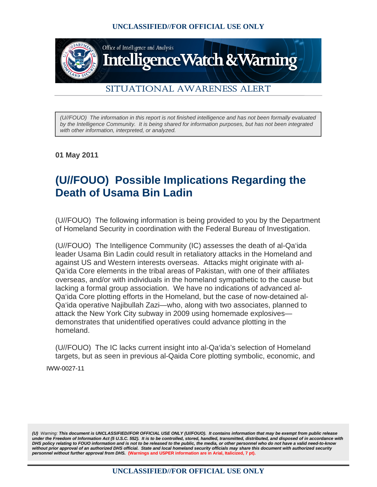

## SITUATIONAL AWARENESS ALERT

*(U//FOUO) The information in this report is not finished intelligence and has not been formally evaluated by the Intelligence Community. It is being shared for information purposes, but has not been integrated with other information, interpreted, or analyzed.* 

**01 May 2011**

## **(U//FOUO) Possible Implications Regarding the Death of Usama Bin Ladin**

(U//FOUO) The following information is being provided to you by the Department of Homeland Security in coordination with the Federal Bureau of Investigation.

(U//FOUO) The Intelligence Community (IC) assesses the death of al-Qa'ida leader Usama Bin Ladin could result in retaliatory attacks in the Homeland and against US and Western interests overseas. Attacks might originate with al-Qa'ida Core elements in the tribal areas of Pakistan, with one of their affiliates overseas, and/or with individuals in the homeland sympathetic to the cause but lacking a formal group association. We have no indications of advanced al-Qa'ida Core plotting efforts in the Homeland, but the case of now-detained al-Qa'ida operative Najibullah Zazi—who, along with two associates, planned to attack the New York City subway in 2009 using homemade explosives demonstrates that unidentified operatives could advance plotting in the homeland.

(U//FOUO) The IC lacks current insight into al-Qa'ida's selection of Homeland targets, but as seen in previous al-Qaida Core plotting symbolic, economic, and

IWW-0027-11

*(U) Warning: This document is UNCLASSIFIED//FOR OFFICIAL USE ONLY (U//FOUO). It contains information that may be exempt from public release under the Freedom of Information Act (5 U.S.C. 552). It is to be controlled, stored, handled, transmitted, distributed, and disposed of in accordance with DHS policy relating to FOUO information and is not to be released to the public, the media, or other personnel who do not have a valid need-to-know*  without prior approval of an authorized DHS official. State and local homeland security officials may share this document with authorized security *personnel without further approval from DHS.* **(Warnings and USPER information are in Arial, Italicized, 7 pt).**